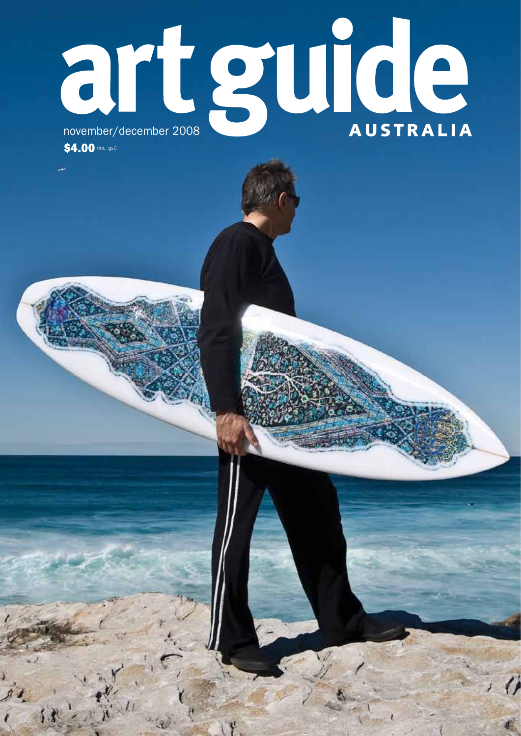## RECEPTION **AUSTRALIA**

\$4.00 (inc. gst)